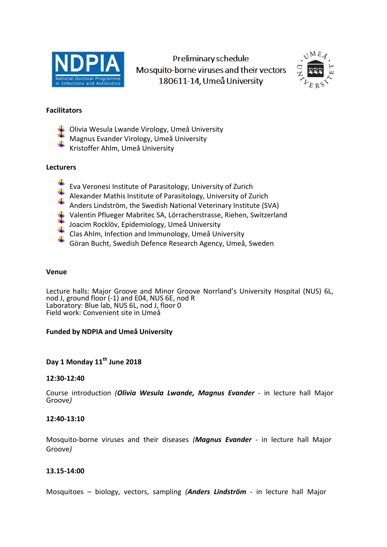

Preliminary schedule Mosquito-borne viruses and their vectors 180611-14, Umeå University



### **Facilitators**

- Olivia Wesula Lwande Virology, Umeå University
- Magnus Evander Virology, Umeå University
- Kristoffer Ahlm, Umeå University

### **Lecturers**

- Eva Veronesi Institute of Parasitology, University of Zurich
- Alexander Mathis Institute of Parasitology, University of Zurich
- Anders Lindström, the Swedish National Veterinary Institute (SVA)
- Valentin Pflueger Mabritec SA, Lörracherstrasse, Riehen, Switzerland
- Joacim Rocklöv, Epidemiology, Umeå University
- Clas Ahlm, Infection and Immunology, Umeå University
- ٠ Göran Bucht, Swedish Defence Research Agency, Umeå, Sweden

### **Venue**

Lecture halls: Major Groove and Minor Groove Norrland's University Hospital (NUS) 6L, nod J, ground floor (-1) and E04, NUS 6E, nod R Laboratory: Blue lab, NUS 6L, nod J, floor 0 Field work: Convenient site in Umeå

### **Funded by NDPIA and Umeå University**

# **Day 1 Monday 11th June 2018**

### **12:30-12:40**

Course introduction *(Olivia Wesula Lwande, Magnus Evander -* in lecture hall Major Groove*)* 

### **12:40-13:10**

Mosquito-borne viruses and their diseases *(Magnus Evander -* in lecture hall Major Groove*)*

### **13.15-14:00**

Mosquitoes – biology, vectors, sampling *(Anders Lindström -* in lecture hall Major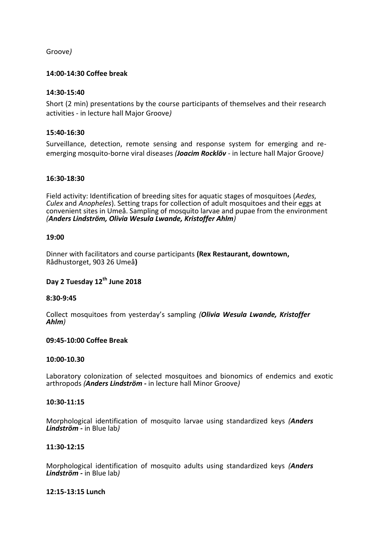Groove*)*

### **14:00-14:30 Coffee break**

### **14:30-15:40**

Short (2 min) presentations by the course participants of themselves and their research activities *-* in lecture hall Major Groove*)*

### **15:40-16:30**

Surveillance, detection, remote sensing and response system for emerging and reemerging mosquito-borne viral diseases *(Joacim Rocklöv -* in lecture hall Major Groove*)*

### **16:30-18:30**

Field activity: Identification of breeding sites for aquatic stages of mosquitoes (*Aedes, Culex* and *Anopheles*). Setting traps for collection of adult mosquitoes and their eggs at convenient sites in Umeå. Sampling of mosquito larvae and pupae from the environment *(Anders Lindström, Olivia Wesula Lwande, Kristoffer Ahlm)*

### **19:00**

Dinner with facilitators and course participants **(Rex Restaurant, downtown,**  Rådhustorget, 903 26 Umeå**)**

# **Day 2 Tuesday 12th June 2018**

### **8:30-9:45**

Collect mosquitoes from yesterday's sampling *(Olivia Wesula Lwande, Kristoffer Ahlm)* 

### **09:45-10:00 Coffee Break**

### **10:00-10.30**

Laboratory colonization of selected mosquitoes and bionomics of endemics and exotic arthropods *(Anders Lindström -* in lecture hall Minor Groove*)*

#### **10:30-11:15**

Morphological identification of mosquito larvae using standardized keys *(Anders Lindström -* in Blue lab*)*

#### **11:30-12:15**

Morphological identification of mosquito adults using standardized keys *(Anders Lindström -* in Blue lab*)* 

#### **12:15-13:15 Lunch**